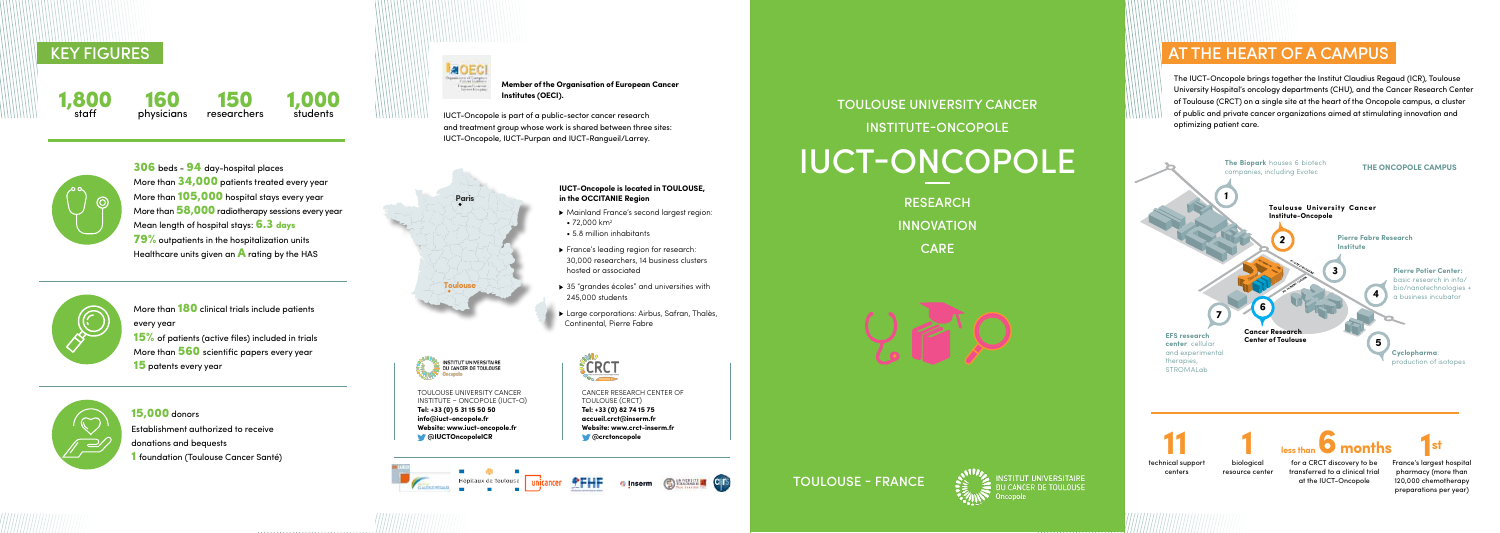preparations per year)

The IUCT-Oncopole brings together the Institut Claudius Regaud (ICR), Toulouse University Hospital's oncology departments (CHU), and the Cancer Research Center of Toulouse (CRCT) on a single site at the heart of the Oncopole campus, a cluster of public and private cancer organizations aimed at stimulating innovation and optimizing patient care.



More than 180 clinical trials include patients every year 15% of patients (active files) included in trials More than 560 scientific papers every year **15** patents every year



306 beds - 94 day-hospital places More than  $34,000$  patients treated every year More than **105,000** hospital stays every year More than 58,000 radiotherapy sessions every year Mean lenath of hospital stays: **6.3 days 79%** outpatients in the hospitalization units Healthcare units given an  $\bigwedge$  rating by the HAS



Toulouse University Cancer Institute – Oncopole (IUCT-O)

INSTITUT UNIVERSITAIRE

DU CANCER DE TOULOUSE Onconole

**Tel: +33 (0) 5 31 15 50 50 info@iuct-oncopole.fr Website: www.iuct-oncopole.fr @IUCTOncopoleICR**

#### Cancer Research Center of Toulouse (CRCT) **Tel: +33 (0) 82 74 15 75**

**accueil.crct@inserm.fr Website: www.crct-inserm.fr @crctoncopole**













- Mainland France's second largest region:
- 72,000 km<sup>2</sup>
- 5.8 million inhabitants
- France's leading region for research: 30,000 researchers, 14 business clusters hosted or associated
- ▶ 35 "grandes écoles" and universities with 245,000 students
- ▶ Large corporations: Airbus, Safran, Thalès, Continental, Pierre Fabre



# **Member of the Organisation of European Cancer**

# staff





160 physicians 150 researchers

# 15,000 donors

Establishment authorized to receive donations and bequests 1 foundation (Toulouse Cancer Santé)

# Key figures

# Toulouse University Cancer Institute-Oncopole IUCT-Oncopole

**RESEARCH INNOVATION CARE** 

**AT THE HEART OF A CAMPUS** 

Toulouse - France



**INSTITUT UNIVERSITAIRE** DU CANCER DE TOULOUSE

IUCT-Oncopole is part of a public-sector cancer research and treatment group whose work is shared between three sites: IUCT-Oncopole, IUCT-Purpan and IUCT-Rangueil/Larrey.